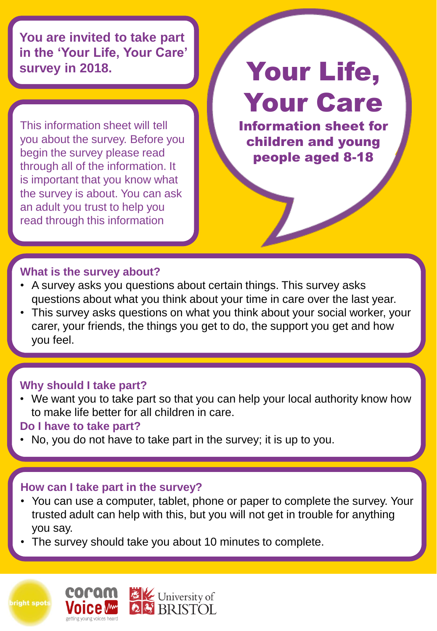**You are invited to take part in the 'Your Life, Your Care' survey in 2018.** 

This information sheet will tell you about the survey. Before you begin the survey please read through all of the information. It is important that you know what the survey is about. You can ask an adult you trust to help you read through this information

# Your Life, Your Care

Information sheet for children and young people aged 8-18

# **What is the survey about?**

- A survey asks you questions about certain things. This survey asks questions about what you think about your time in care over the last year.
- This survey asks questions on what you think about your social worker, your carer, your friends, the things you get to do, the support you get and how you feel.

#### **Why should I take part?**

• We want you to take part so that you can help your local authority know how to make life better for all children in care.

#### **Do I have to take part?**

• No, you do not have to take part in the survey; it is up to you.

#### **How can I take part in the survey?**

- You can use a computer, tablet, phone or paper to complete the survey. Your trusted adult can help with this, but you will not get in trouble for anything you say.
- The survey should take you about 10 minutes to complete.